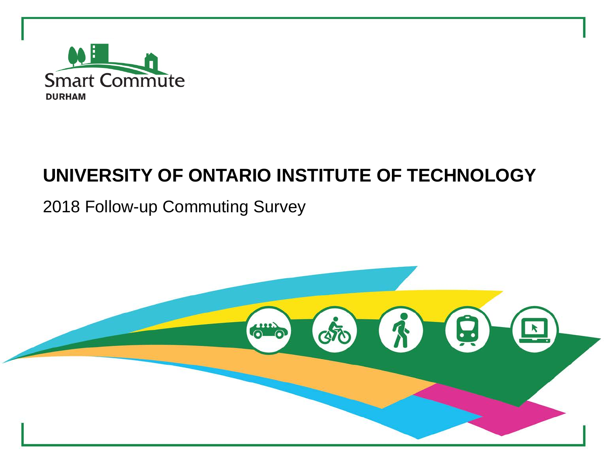

### **UNIVERSITY OF ONTARIO INSTITUTE OF TECHNOLOGY**

### 2018 Follow-up Commuting Survey

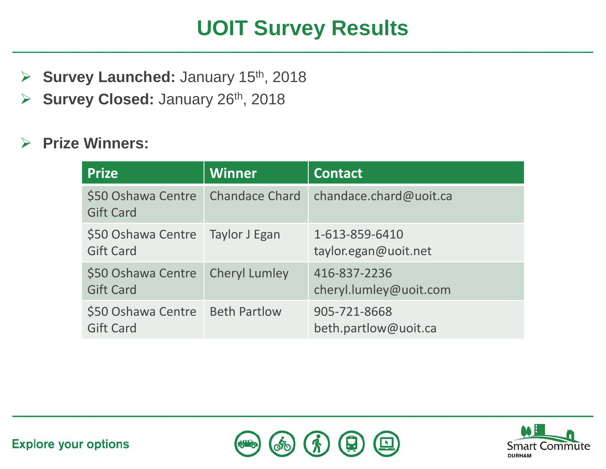# **UOIT Survey Results**

- **► Survey Launched: January 15th, 2018**
- **► Survey Closed: January 26th, 2018**

### **Prize Winners:**

| <b>Prize</b>                                           | <b>Winner</b>         | <b>Contact</b>                         |
|--------------------------------------------------------|-----------------------|----------------------------------------|
| \$50 Oshawa Centre<br><b>Gift Card</b>                 | <b>Chandace Chard</b> | chandace.chard@uoit.ca                 |
| \$50 Oshawa Centre   Taylor J Egan<br><b>Gift Card</b> |                       | 1-613-859-6410<br>taylor.egan@uoit.net |
| \$50 Oshawa Centre<br><b>Gift Card</b>                 | <b>Cheryl Lumley</b>  | 416-837-2236<br>cheryl.lumley@uoit.com |
| \$50 Oshawa Centre<br><b>Gift Card</b>                 | <b>Beth Partlow</b>   | 905-721-8668<br>beth.partlow@uoit.ca   |



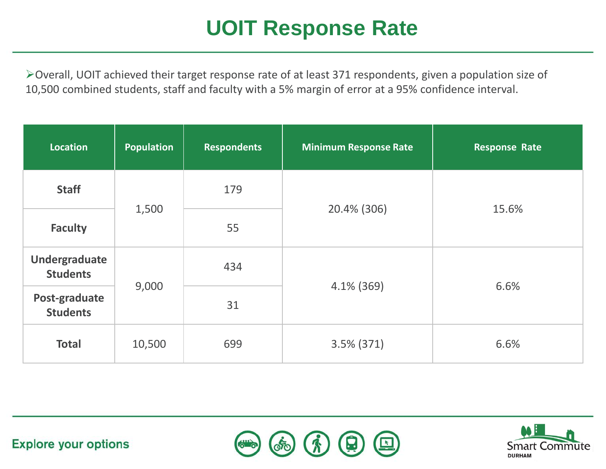# **UOIT Response Rate**

Overall, UOIT achieved their target response rate of at least 371 respondents, given a population size of 10,500 combined students, staff and faculty with a 5% margin of error at a 95% confidence interval.

| Location                         | <b>Population</b> | <b>Respondents</b> | <b>Minimum Response Rate</b> | <b>Response Rate</b> |
|----------------------------------|-------------------|--------------------|------------------------------|----------------------|
| <b>Staff</b>                     | 1,500             | 179                | 20.4% (306)                  | 15.6%                |
| <b>Faculty</b>                   |                   | 55                 |                              |                      |
| Undergraduate<br><b>Students</b> | 9,000             | 434                | $4.1\%$ (369)                | 6.6%                 |
| Post-graduate<br><b>Students</b> |                   | 31                 |                              |                      |
| <b>Total</b>                     | 10,500            | 699                | $3.5\%$ (371)                | 6.6%                 |



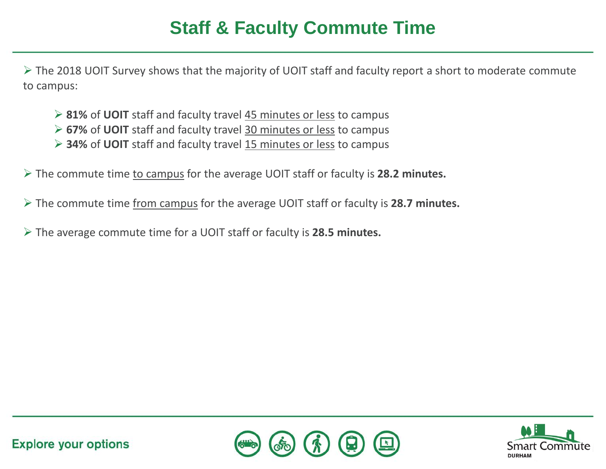### **Staff & Faculty Commute Time**

 $\triangleright$  The 2018 UOIT Survey shows that the majority of UOIT staff and faculty report a short to moderate commute to campus:

- **81%** of **UOIT** staff and faculty travel 45 minutes or less to campus
- **67%** of **UOIT** staff and faculty travel 30 minutes or less to campus
- **34%** of **UOIT** staff and faculty travel 15 minutes or less to campus
- The commute time to campus for the average UOIT staff or faculty is **28.2 minutes.**
- The commute time from campus for the average UOIT staff or faculty is **28.7 minutes.**
- The average commute time for a UOIT staff or faculty is **28.5 minutes.**



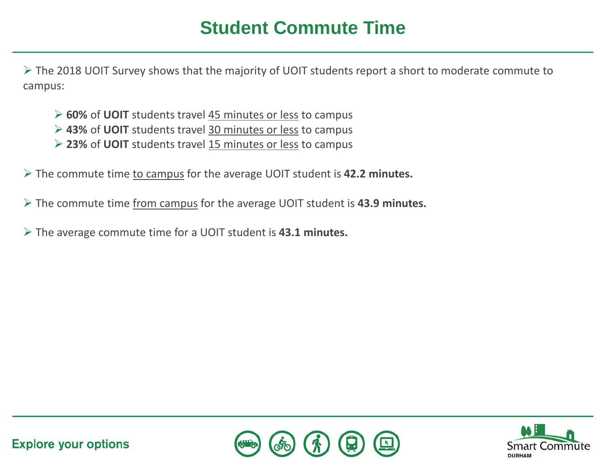### **Student Commute Time**

 $\triangleright$  The 2018 UOIT Survey shows that the majority of UOIT students report a short to moderate commute to campus:

- **60%** of **UOIT** students travel 45 minutes or less to campus
- **43%** of **UOIT** students travel 30 minutes or less to campus
- **23%** of **UOIT** students travel 15 minutes or less to campus
- The commute time to campus for the average UOIT student is **42.2 minutes.**
- The commute time from campus for the average UOIT student is **43.9 minutes.**
- The average commute time for a UOIT student is **43.1 minutes.**



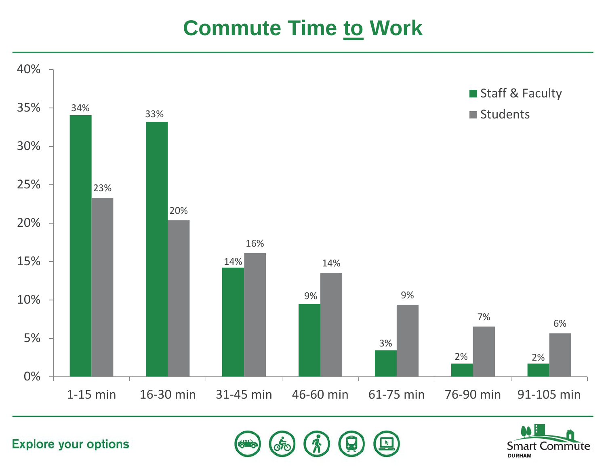### **Commute Time to Work**



**Explore your options** 

**Smart Commute DURHAM**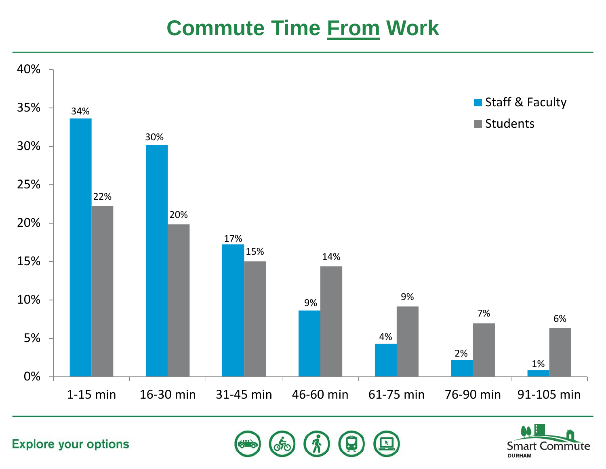## **Commute Time From Work**



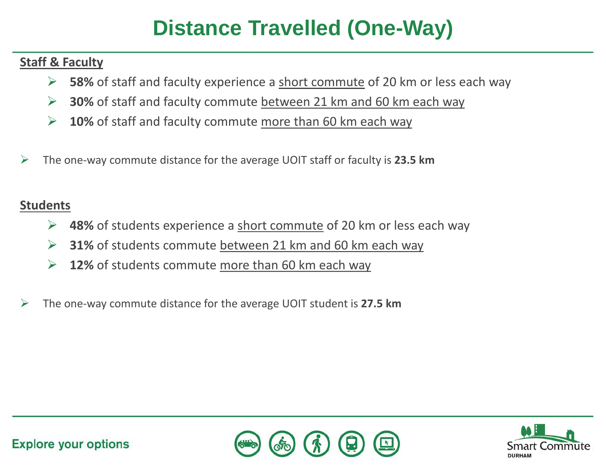# **Distance Travelled (One-Way)**

#### **Staff & Faculty**

- **58%** of staff and faculty experience a short commute of 20 km or less each way
- **30%** of staff and faculty commute between 21 km and 60 km each way
- **10%** of staff and faculty commute more than 60 km each way
- The one-way commute distance for the average UOIT staff or faculty is **23.5 km**

#### **Students**

- **48%** of students experience a short commute of 20 km or less each way
- **31%** of students commute between 21 km and 60 km each way
- **12%** of students commute more than 60 km each way
- The one-way commute distance for the average UOIT student is **27.5 km**



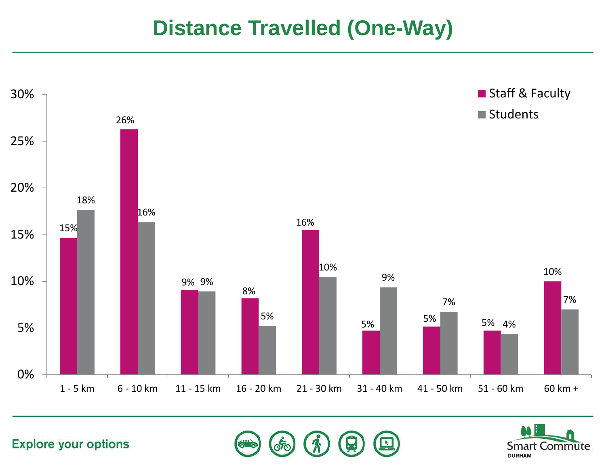### **Distance Travelled (One-Way)**



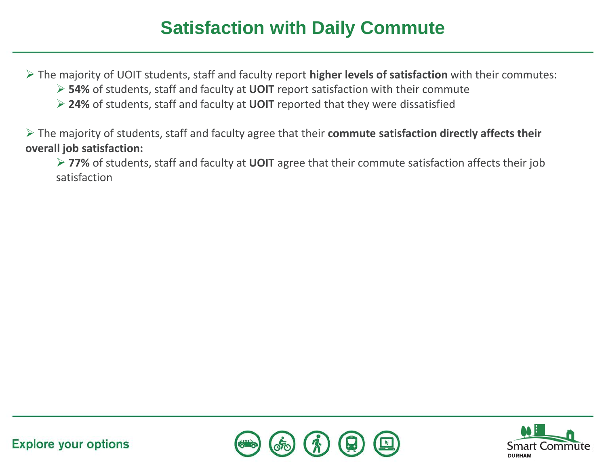### **Satisfaction with Daily Commute**

The majority of UOIT students, staff and faculty report **higher levels of satisfaction** with their commutes:

- **54%** of students, staff and faculty at **UOIT** report satisfaction with their commute
- **24%** of students, staff and faculty at **UOIT** reported that they were dissatisfied

 The majority of students, staff and faculty agree that their **commute satisfaction directly affects their overall job satisfaction:** 

 **77%** of students, staff and faculty at **UOIT** agree that their commute satisfaction affects their job satisfaction



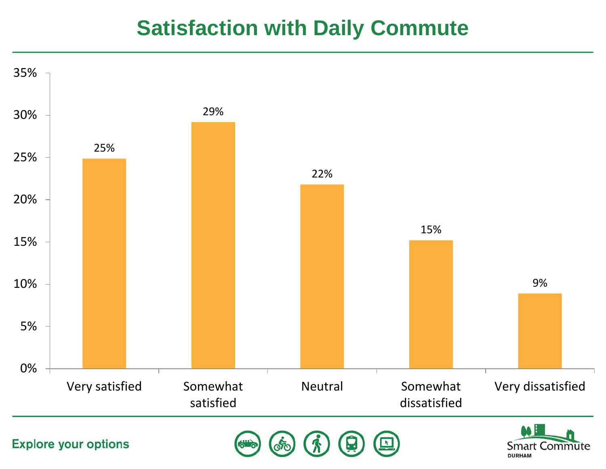### **Satisfaction with Daily Commute**

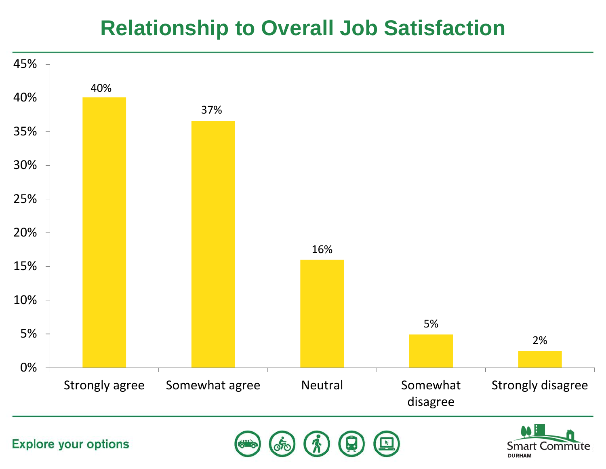### **Relationship to Overall Job Satisfaction**

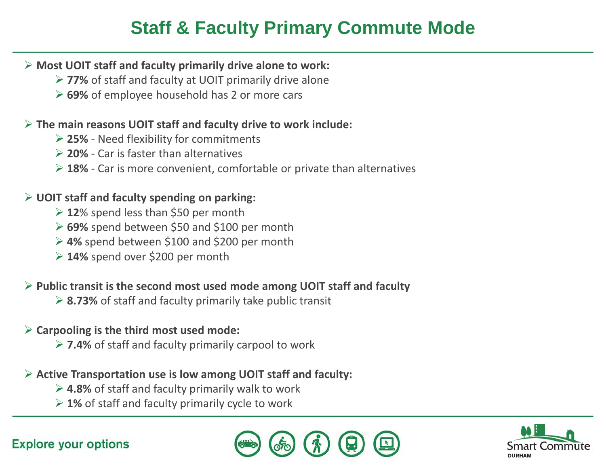### **Staff & Faculty Primary Commute Mode**

#### **Most UOIT staff and faculty primarily drive alone to work:**

- **77%** of staff and faculty at UOIT primarily drive alone
- **69%** of employee household has 2 or more cars

#### **The main reasons UOIT staff and faculty drive to work include:**

- **25%**  Need flexibility for commitments
- **20%**  Car is faster than alternatives
- **18%**  Car is more convenient, comfortable or private than alternatives

#### **UOIT staff and faculty spending on parking:**

- **12**% spend less than \$50 per month
- **69%** spend between \$50 and \$100 per month
- **4%** spend between \$100 and \$200 per month
- **14%** spend over \$200 per month

#### **Public transit is the second most used mode among UOIT staff and faculty**

**8.73%** of staff and faculty primarily take public transit

#### **Carpooling is the third most used mode:**

**7.4%** of staff and faculty primarily carpool to work

#### **Active Transportation use is low among UOIT staff and faculty:**

- **4.8%** of staff and faculty primarily walk to work
- **1%** of staff and faculty primarily cycle to work





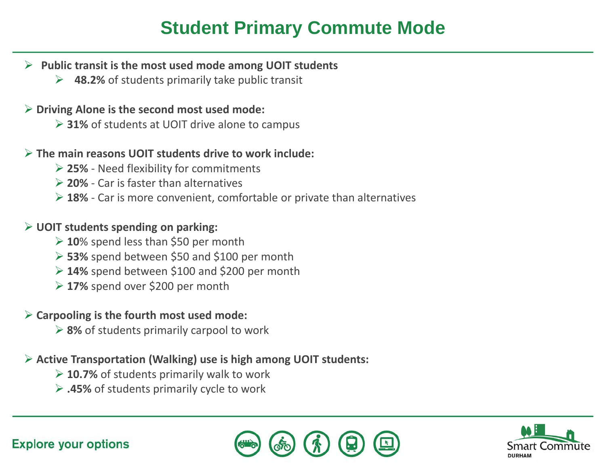### **Student Primary Commute Mode**

- **Public transit is the most used mode among UOIT students**
	- **48.2%** of students primarily take public transit

#### **Driving Alone is the second most used mode:**

**31%** of students at UOIT drive alone to campus

#### **The main reasons UOIT students drive to work include:**

- **25%**  Need flexibility for commitments
- **20%**  Car is faster than alternatives
- **18%**  Car is more convenient, comfortable or private than alternatives

#### **UOIT students spending on parking:**

- **10**% spend less than \$50 per month
- **53%** spend between \$50 and \$100 per month
- **14%** spend between \$100 and \$200 per month
- **17%** spend over \$200 per month

#### **Carpooling is the fourth most used mode:**

**8%** of students primarily carpool to work

#### **Active Transportation (Walking) use is high among UOIT students:**

- **10.7%** of students primarily walk to work
- **.45%** of students primarily cycle to work



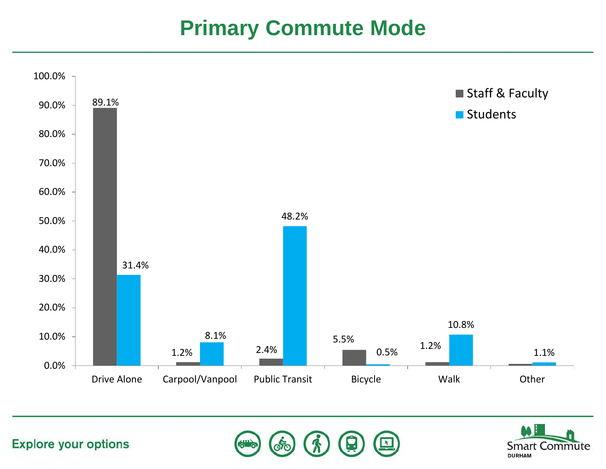## **Primary Commute Mode**





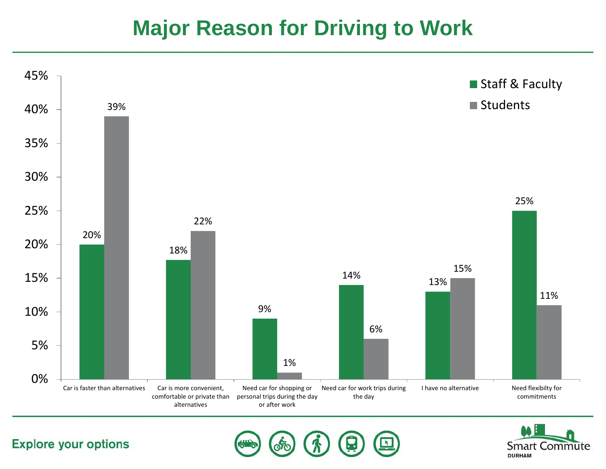### **Major Reason for Driving to Work**





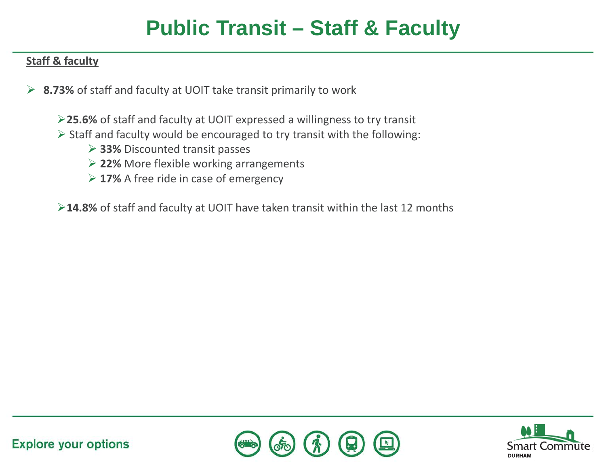## **Public Transit – Staff & Faculty**

#### **Staff & faculty**

- **8.73%** of staff and faculty at UOIT take transit primarily to work
	- **25.6%** of staff and faculty at UOIT expressed a willingness to try transit
	- $\triangleright$  Staff and faculty would be encouraged to try transit with the following:
		- **33%** Discounted transit passes
		- **22%** More flexible working arrangements
		- **17%** A free ride in case of emergency

**14.8%** of staff and faculty at UOIT have taken transit within the last 12 months



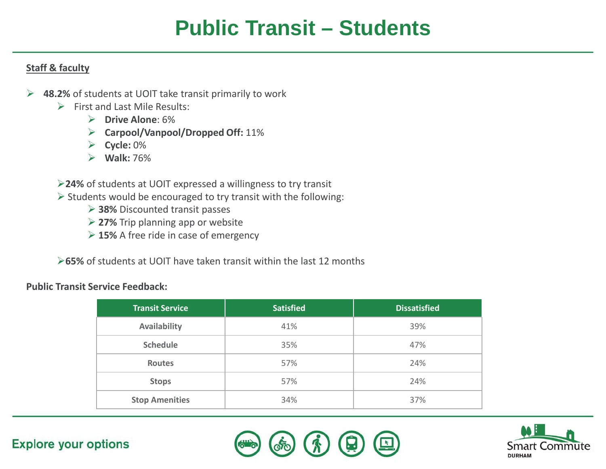## **Public Transit – Students**

#### **Staff & faculty**

- **48.2%** of students at UOIT take transit primarily to work
	- $\triangleright$  First and Last Mile Results:
		- **Drive Alone**: 6%
		- **Carpool/Vanpool/Dropped Off:** 11%
		- **Cycle:** 0%
		- **Walk:** 76%
	- **24%** of students at UOIT expressed a willingness to try transit
	- $\triangleright$  Students would be encouraged to try transit with the following:
		- **38%** Discounted transit passes
		- **27%** Trip planning app or website
		- **15%** A free ride in case of emergency
	- **65%** of students at UOIT have taken transit within the last 12 months

#### **Public Transit Service Feedback:**

| <b>Transit Service</b> | <b>Satisfied</b> | <b>Dissatisfied</b> |
|------------------------|------------------|---------------------|
| Availability           | 41%              | 39%                 |
| <b>Schedule</b>        | 35%              | 47%                 |
| Routes                 | 57%              | 24%                 |
| <b>Stops</b>           | 57%              | 24%                 |
| <b>Stop Amenities</b>  | 34%              | 37%                 |



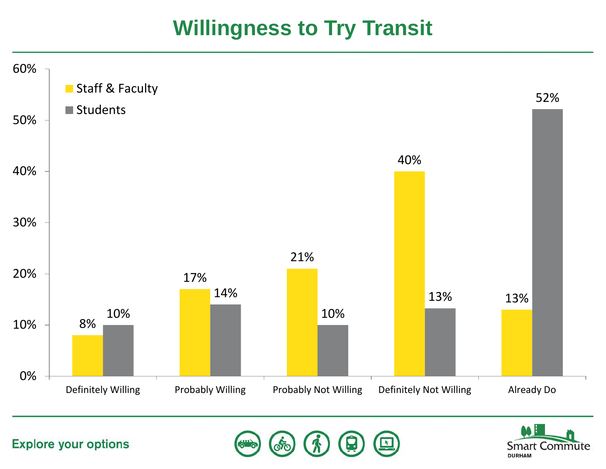## **Willingness to Try Transit**



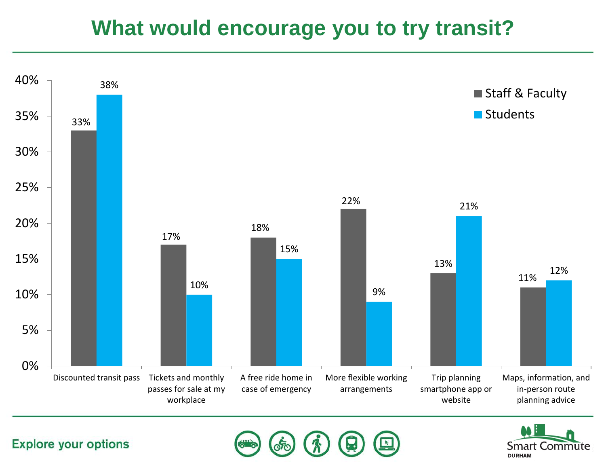### **What would encourage you to try transit?**





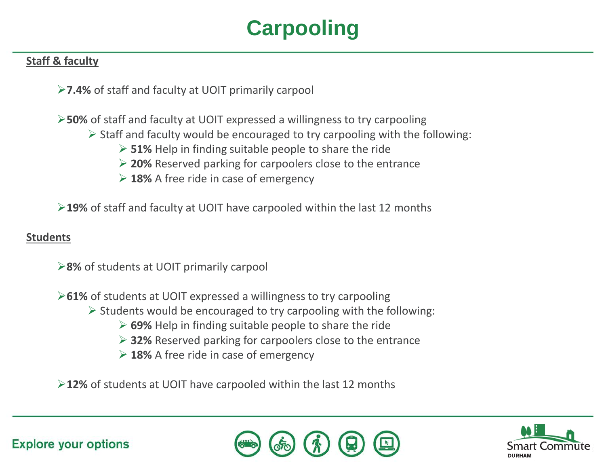# **Carpooling**

#### **Staff & faculty**

**7.4%** of staff and faculty at UOIT primarily carpool

**50%** of staff and faculty at UOIT expressed a willingness to try carpooling

- $\triangleright$  Staff and faculty would be encouraged to try carpooling with the following:
	- **51%** Help in finding suitable people to share the ride
	- **20%** Reserved parking for carpoolers close to the entrance
	- **18%** A free ride in case of emergency

**19%** of staff and faculty at UOIT have carpooled within the last 12 months

#### **Students**

**8%** of students at UOIT primarily carpool

**61%** of students at UOIT expressed a willingness to try carpooling

- $\triangleright$  Students would be encouraged to try carpooling with the following:
	- **69%** Help in finding suitable people to share the ride
	- **32%** Reserved parking for carpoolers close to the entrance
	- **18%** A free ride in case of emergency

**12%** of students at UOIT have carpooled within the last 12 months



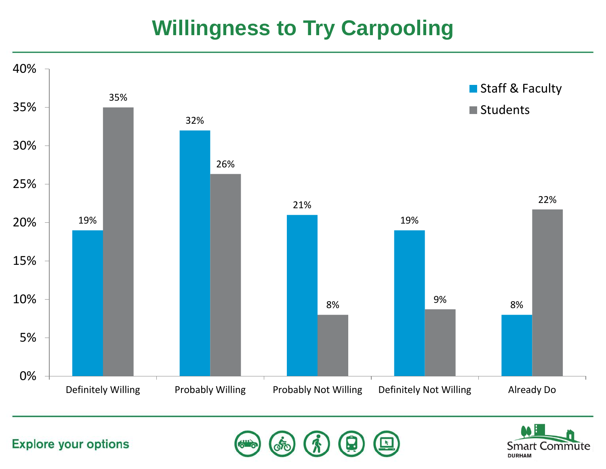# **Willingness to Try Carpooling**



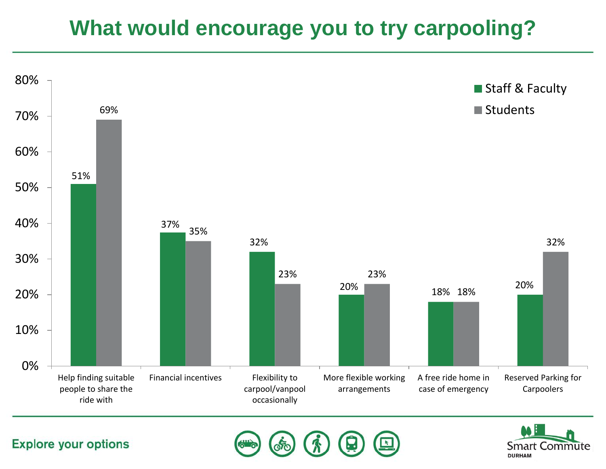# **What would encourage you to try carpooling?**



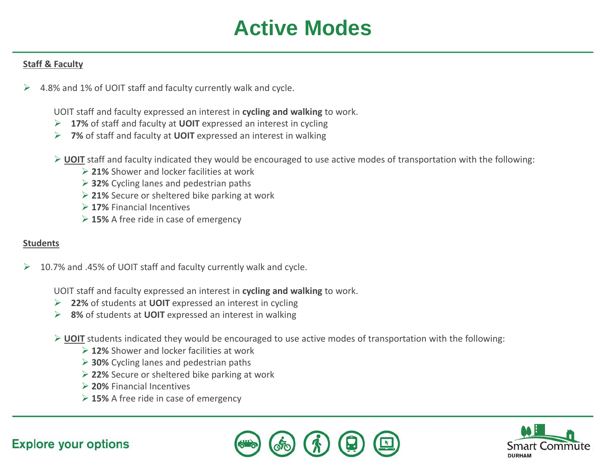## **Active Modes**

#### **Staff & Faculty**

4.8% and 1% of UOIT staff and faculty currently walk and cycle.

UOIT staff and faculty expressed an interest in **cycling and walking** to work.

- **17%** of staff and faculty at **UOIT** expressed an interest in cycling
- **7%** of staff and faculty at **UOIT** expressed an interest in walking
- **UOIT** staff and faculty indicated they would be encouraged to use active modes of transportation with the following:
	- **21%** Shower and locker facilities at work
	- **32%** Cycling lanes and pedestrian paths
	- **21%** Secure or sheltered bike parking at work
	- **17%** Financial Incentives
	- **15%** A free ride in case of emergency

#### **Students**

 $\geq$  10.7% and .45% of UOIT staff and faculty currently walk and cycle.

UOIT staff and faculty expressed an interest in **cycling and walking** to work.

- **22%** of students at **UOIT** expressed an interest in cycling
- **8%** of students at **UOIT** expressed an interest in walking
- **UOIT** students indicated they would be encouraged to use active modes of transportation with the following:
	- **12%** Shower and locker facilities at work
	- **30%** Cycling lanes and pedestrian paths
	- **22%** Secure or sheltered bike parking at work
	- **20%** Financial Incentives
	- **15%** A free ride in case of emergency





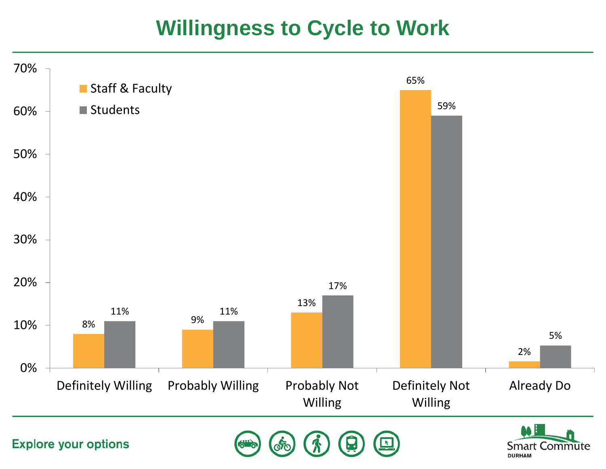### **Willingness to Cycle to Work**

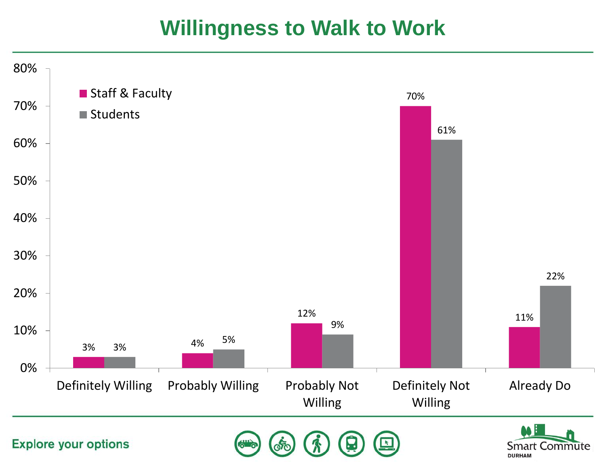## **Willingness to Walk to Work**

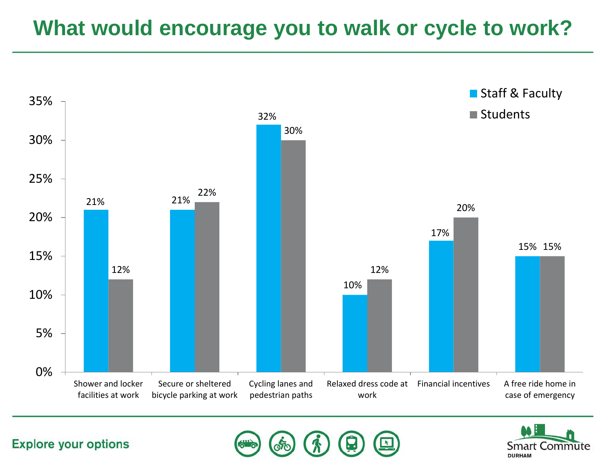## **What would encourage you to walk or cycle to work?**





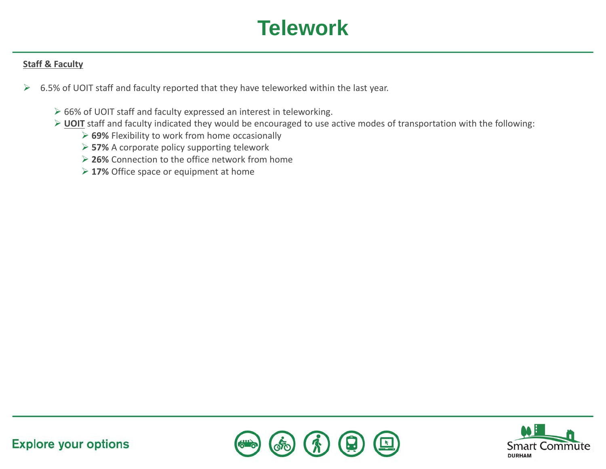# **Telework**

#### **Staff & Faculty**

- $\geq$  6.5% of UOIT staff and faculty reported that they have teleworked within the last year.
	- ▶ 66% of UOIT staff and faculty expressed an interest in teleworking.
	- **UOIT** staff and faculty indicated they would be encouraged to use active modes of transportation with the following:
		- **69%** Flexibility to work from home occasionally
		- **57%** A corporate policy supporting telework
		- **26%** Connection to the office network from home
		- **17%** Office space or equipment at home



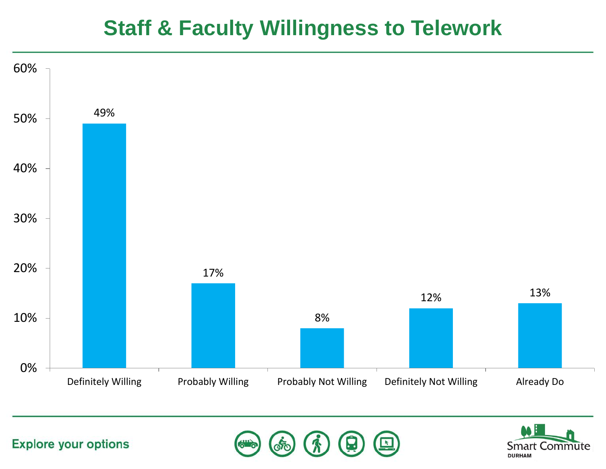### **Staff & Faculty Willingness to Telework**



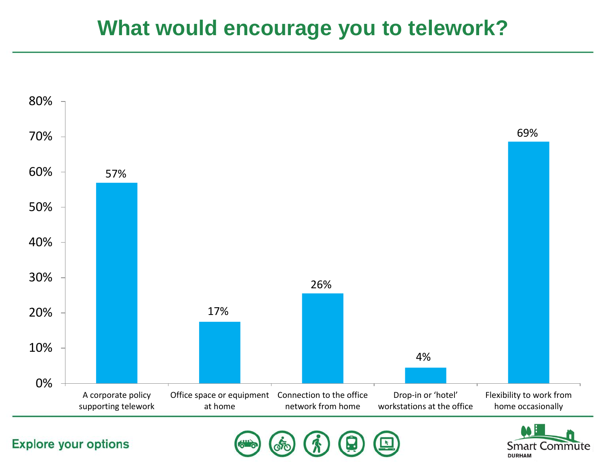### **What would encourage you to telework?**